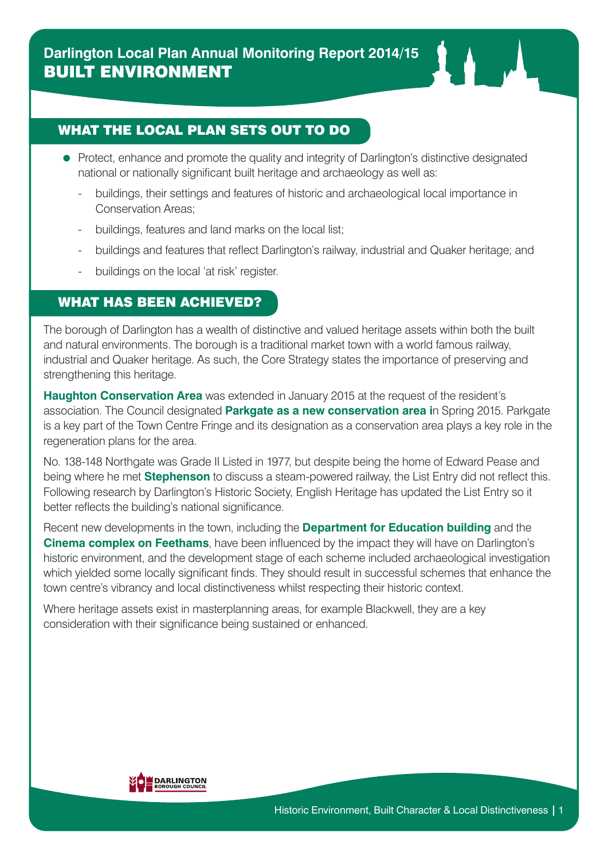### WHAT THE LOCAL PLAN SETS OUT TO DO

- Protect, enhance and promote the quality and integrity of Darlington's distinctive designated national or nationally significant built heritage and archaeology as well as:
	- buildings, their settings and features of historic and archaeological local importance in Conservation Areas;
	- buildings, features and land marks on the local list;
	- buildings and features that reflect Darlington's railway, industrial and Quaker heritage; and
	- buildings on the local 'at risk' register.

### WHAT HAS BEEN ACHIEVED?

The borough of Darlington has a wealth of distinctive and valued heritage assets within both the built and natural environments. The borough is a traditional market town with a world famous railway, industrial and Quaker heritage. As such, the Core Strategy states the importance of preserving and strengthening this heritage.

**Haughton Conservation Area** was extended in January 2015 at the request of the resident's association. The Council designated **Parkgate as a new conservation area i**n Spring 2015. Parkgate is a key part of the Town Centre Fringe and its designation as a conservation area plays a key role in the regeneration plans for the area.

No. 138-148 Northgate was Grade II Listed in 1977, but despite being the home of Edward Pease and being where he met **Stephenson** to discuss a steam-powered railway, the List Entry did not reflect this. Following research by Darlington's Historic Society, English Heritage has updated the List Entry so it better reflects the building's national significance.

Recent new developments in the town, including the **Department for Education building** and the **Cinema complex on Feethams**, have been influenced by the impact they will have on Darlington's historic environment, and the development stage of each scheme included archaeological investigation which yielded some locally significant finds. They should result in successful schemes that enhance the town centre's vibrancy and local distinctiveness whilst respecting their historic context.

Where heritage assets exist in masterplanning areas, for example Blackwell, they are a key consideration with their significance being sustained or enhanced.